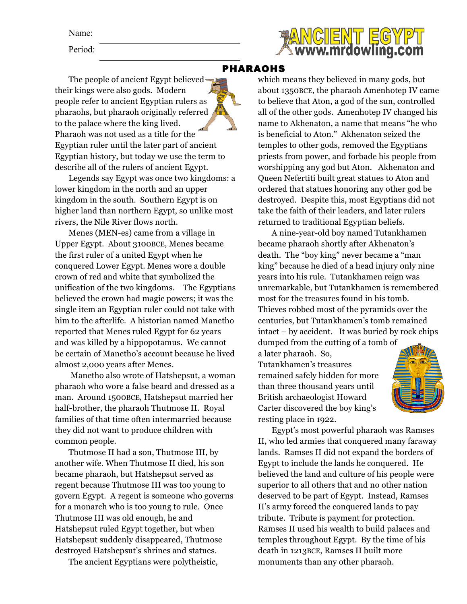Name:

Period:



## PHARAOHS

The people of ancient Egypt believed their kings were also gods. Modern people refer to ancient Egyptian rulers as pharaohs, but pharaoh originally referred to the palace where the king lived. Pharaoh was not used as a title for the Egyptian ruler until the later part of ancient Egyptian history, but today we use the term to describe all of the rulers of ancient Egypt.

Legends say Egypt was once two kingdoms: a lower kingdom in the north and an upper kingdom in the south. Southern Egypt is on higher land than northern Egypt, so unlike most rivers, the Nile River flows north.

Menes (MEN-es) came from a village in Upper Egypt. About 3100BCE, Menes became the first ruler of a united Egypt when he conquered Lower Egypt. Menes wore a double crown of red and white that symbolized the unification of the two kingdoms. The Egyptians believed the crown had magic powers; it was the single item an Egyptian ruler could not take with him to the afterlife. A historian named Manetho reported that Menes ruled Egypt for 62 years and was killed by a hippopotamus. We cannot be certain of Manetho's account because he lived almost 2,000 years after Menes.

Manetho also wrote of Hatshepsut, a woman pharaoh who wore a false beard and dressed as a man. Around 1500BCE, Hatshepsut married her half-brother, the pharaoh Thutmose II. Royal families of that time often intermarried because they did not want to produce children with common people.

Thutmose II had a son, Thutmose III, by another wife. When Thutmose II died, his son became pharaoh, but Hatshepsut served as regent because Thutmose III was too young to govern Egypt. A regent is someone who governs for a monarch who is too young to rule. Once Thutmose III was old enough, he and Hatshepsut ruled Egypt together, but when Hatshepsut suddenly disappeared, Thutmose destroyed Hatshepsut's shrines and statues.

The ancient Egyptians were polytheistic,

which means they believed in many gods, but about 1350BCE, the pharaoh Amenhotep IV came to believe that Aton, a god of the sun, controlled all of the other gods. Amenhotep IV changed his name to Akhenaton, a name that means "he who is beneficial to Aton." Akhenaton seized the temples to other gods, removed the Egyptians priests from power, and forbade his people from worshipping any god but Aton. Akhenaton and Queen Nefertiti built great statues to Aton and ordered that statues honoring any other god be destroyed. Despite this, most Egyptians did not take the faith of their leaders, and later rulers returned to traditional Egyptian beliefs.

A nine-year-old boy named Tutankhamen became pharaoh shortly after Akhenaton's death. The "boy king" never became a "man king" because he died of a head injury only nine years into his rule. Tutankhamen reign was unremarkable, but Tutankhamen is remembered most for the treasures found in his tomb. Thieves robbed most of the pyramids over the centuries, but Tutankhamen's tomb remained intact – by accident. It was buried by rock chips

dumped from the cutting of a tomb of a later pharaoh. So, Tutankhamen's treasures remained safely hidden for more than three thousand years until British archaeologist Howard Carter discovered the boy king's resting place in 1922.



Egypt's most powerful pharaoh was Ramses II, who led armies that conquered many faraway lands. Ramses II did not expand the borders of Egypt to include the lands he conquered. He believed the land and culture of his people were superior to all others that and no other nation deserved to be part of Egypt. Instead, Ramses II's army forced the conquered lands to pay tribute. Tribute is payment for protection. Ramses II used his wealth to build palaces and temples throughout Egypt. By the time of his death in 1213BCE, Ramses II built more monuments than any other pharaoh.